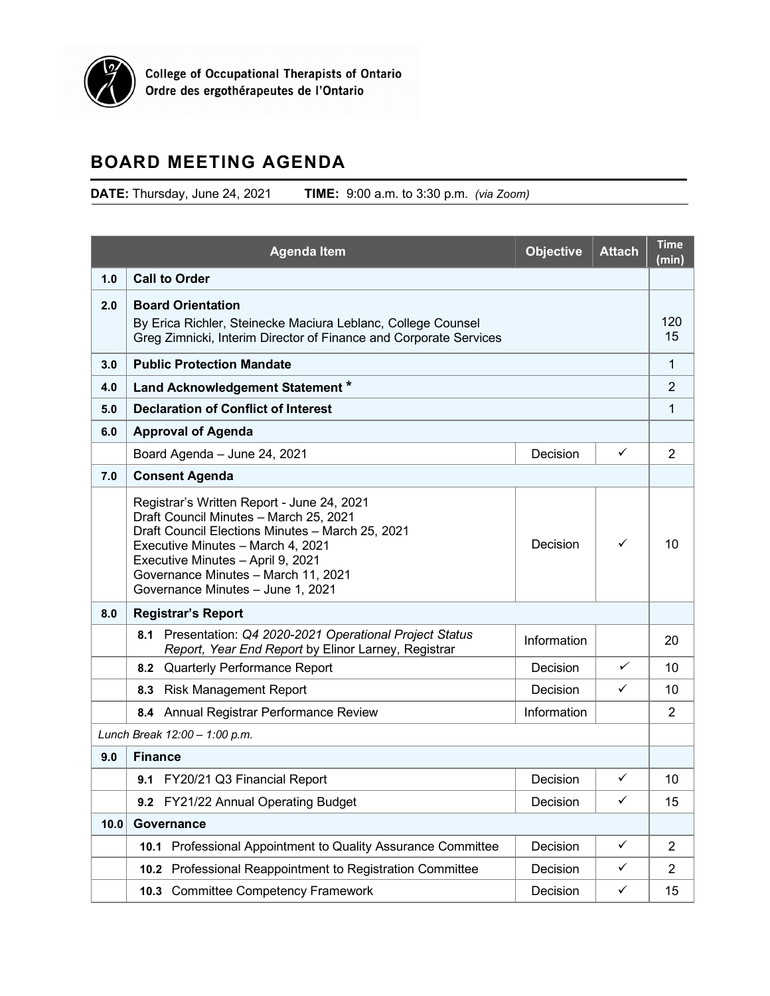<span id="page-0-0"></span>

## **BOARD MEETING AGENDA**

**DATE:** Thursday, June 24, 2021 **TIME:** 9:00 a.m. to 3:30 p.m. *(via Zoom)*

| <b>Agenda Item</b> |                                                                                                                                                                                                                                                                                                                 | <b>Objective</b> | <b>Attach</b> | <b>Time</b><br>(min) |  |  |  |
|--------------------|-----------------------------------------------------------------------------------------------------------------------------------------------------------------------------------------------------------------------------------------------------------------------------------------------------------------|------------------|---------------|----------------------|--|--|--|
| 1.0                | <b>Call to Order</b>                                                                                                                                                                                                                                                                                            |                  |               |                      |  |  |  |
| 2.0                | <b>Board Orientation</b><br>By Erica Richler, Steinecke Maciura Leblanc, College Counsel<br>Greg Zimnicki, Interim Director of Finance and Corporate Services                                                                                                                                                   |                  |               |                      |  |  |  |
| 3.0                | <b>Public Protection Mandate</b>                                                                                                                                                                                                                                                                                |                  |               |                      |  |  |  |
| 4.0                | Land Acknowledgement Statement *                                                                                                                                                                                                                                                                                |                  |               |                      |  |  |  |
| 5.0                | <b>Declaration of Conflict of Interest</b>                                                                                                                                                                                                                                                                      |                  |               |                      |  |  |  |
| 6.0                | <b>Approval of Agenda</b>                                                                                                                                                                                                                                                                                       |                  |               |                      |  |  |  |
|                    | Board Agenda - June 24, 2021                                                                                                                                                                                                                                                                                    | Decision         | ✓             | $\overline{2}$       |  |  |  |
| 7.0                | <b>Consent Agenda</b>                                                                                                                                                                                                                                                                                           |                  |               |                      |  |  |  |
|                    | Registrar's Written Report - June 24, 2021<br>Draft Council Minutes - March 25, 2021<br>Draft Council Elections Minutes - March 25, 2021<br>✓<br>Decision<br>Executive Minutes - March 4, 2021<br>Executive Minutes - April 9, 2021<br>Governance Minutes - March 11, 2021<br>Governance Minutes - June 1, 2021 |                  |               |                      |  |  |  |
| 8.0                | <b>Registrar's Report</b>                                                                                                                                                                                                                                                                                       |                  |               |                      |  |  |  |
|                    | Presentation: Q4 2020-2021 Operational Project Status<br>8.1<br>Report, Year End Report by Elinor Larney, Registrar                                                                                                                                                                                             | Information      |               | 20                   |  |  |  |
|                    | 8.2 Quarterly Performance Report                                                                                                                                                                                                                                                                                | Decision         | ✓             | 10                   |  |  |  |
|                    | 8.3 Risk Management Report                                                                                                                                                                                                                                                                                      | Decision         | ✓             | 10                   |  |  |  |
|                    | 8.4 Annual Registrar Performance Review                                                                                                                                                                                                                                                                         | Information      |               | $\overline{2}$       |  |  |  |
|                    | Lunch Break 12:00 - 1:00 p.m.                                                                                                                                                                                                                                                                                   |                  |               |                      |  |  |  |
| 9.0                | <b>Finance</b>                                                                                                                                                                                                                                                                                                  |                  |               |                      |  |  |  |
|                    | 9.1 FY20/21 Q3 Financial Report                                                                                                                                                                                                                                                                                 | Decision         | ✓             | 10                   |  |  |  |
|                    | 9.2 FY21/22 Annual Operating Budget                                                                                                                                                                                                                                                                             | Decision         | $\checkmark$  | 15                   |  |  |  |
| 10.0               | Governance                                                                                                                                                                                                                                                                                                      |                  |               |                      |  |  |  |
|                    | Professional Appointment to Quality Assurance Committee<br>10.1                                                                                                                                                                                                                                                 | Decision         | $\checkmark$  | $\overline{2}$       |  |  |  |
|                    | 10.2 Professional Reappointment to Registration Committee                                                                                                                                                                                                                                                       | Decision         | $\checkmark$  | $\overline{2}$       |  |  |  |
|                    | <b>Committee Competency Framework</b><br>10.3                                                                                                                                                                                                                                                                   | Decision         | $\checkmark$  | 15                   |  |  |  |